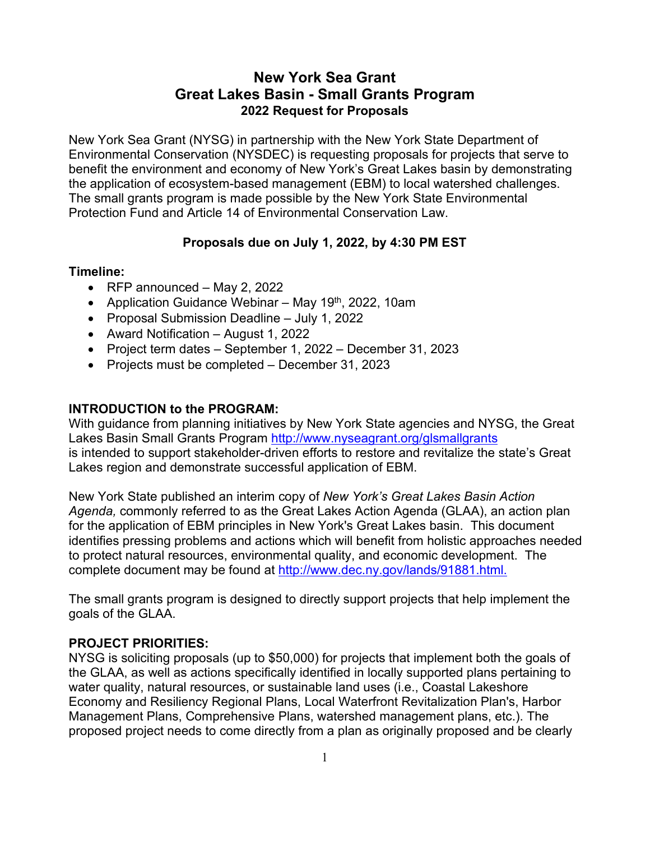# **New York Sea Grant Great Lakes Basin - Small Grants Program 2022 Request for Proposals**

New York Sea Grant (NYSG) in partnership with the New York State Department of Environmental Conservation (NYSDEC) is requesting proposals for projects that serve to benefit the environment and economy of New York's Great Lakes basin by demonstrating the application of ecosystem-based management (EBM) to local watershed challenges. The small grants program is made possible by the New York State Environmental Protection Fund and Article 14 of Environmental Conservation Law.

### **Proposals due on July 1, 2022, by 4:30 PM EST**

#### **Timeline:**

- RFP announced May 2, 2022
- Application Guidance Webinar May 19<sup>th</sup>, 2022, 10am
- Proposal Submission Deadline July 1, 2022
- Award Notification August 1, 2022
- Project term dates September 1, 2022 December 31, 2023
- Projects must be completed December 31, 2023

### **INTRODUCTION to the PROGRAM:**

With guidance from planning initiatives by New York State agencies and NYSG, the Great Lakes Basin Small Grants Program <http://www.nyseagrant.org/glsmallgrants> is intended to support stakeholder-driven efforts to restore and revitalize the state's Great Lakes region and demonstrate successful application of EBM.

New York State published an interim copy of *New York's Great Lakes Basin Action Agenda,* commonly referred to as the Great Lakes Action Agenda (GLAA), an action plan for the application of EBM principles in New York's Great Lakes basin. This document identifies pressing problems and actions which will benefit from holistic approaches needed to protect natural resources, environmental quality, and economic development. The complete document may be found at [http://www.dec.ny.gov/lands/91881.html.](http://www.dec.ny.gov/lands/91881.html)

The small grants program is designed to directly support projects that help implement the goals of the GLAA.

### **PROJECT PRIORITIES:**

NYSG is soliciting proposals (up to \$50,000) for projects that implement both the goals of the GLAA, as well as actions specifically identified in locally supported plans pertaining to water quality, natural resources, or sustainable land uses (i.e., Coastal Lakeshore Economy and Resiliency Regional Plans, Local Waterfront Revitalization Plan's, Harbor Management Plans, Comprehensive Plans, watershed management plans, etc.). The proposed project needs to come directly from a plan as originally proposed and be clearly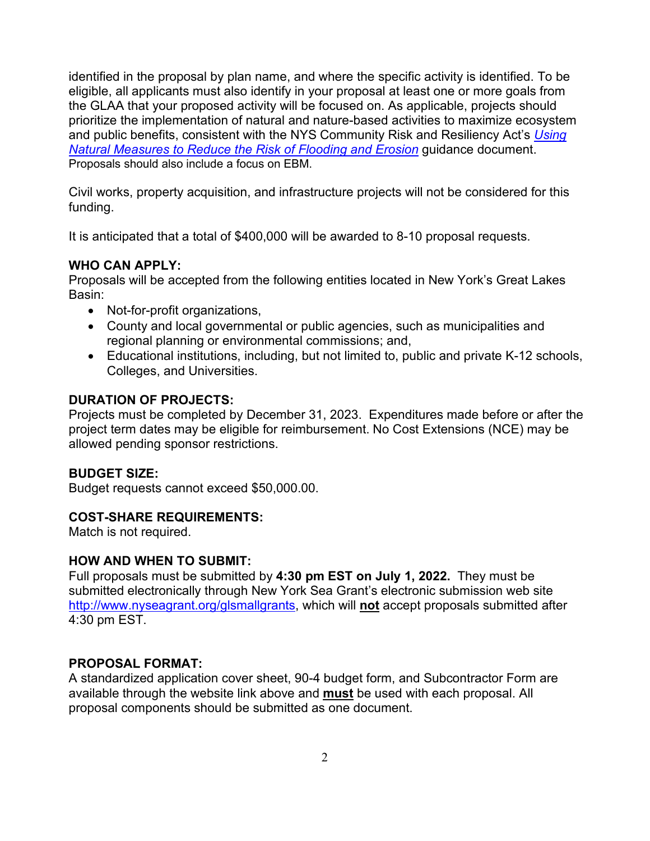identified in the proposal by plan name, and where the specific activity is identified. To be eligible, all applicants must also identify in your proposal at least one or more goals from the GLAA that your proposed activity will be focused on. As applicable, projects should prioritize the implementation of natural and nature-based activities to maximize ecosystem and public benefits, consistent with the NYS Community Risk and Resiliency Act's *[Using](https://www.dec.ny.gov/docs/administration_pdf/crranaturalmeasuresgndc.pdf)  [Natural Measures to Reduce the Risk of Flooding and Erosion](https://www.dec.ny.gov/docs/administration_pdf/crranaturalmeasuresgndc.pdf)* guidance document. Proposals should also include a focus on EBM.

Civil works, property acquisition, and infrastructure projects will not be considered for this funding.

It is anticipated that a total of \$400,000 will be awarded to 8-10 proposal requests.

### **WHO CAN APPLY:**

Proposals will be accepted from the following entities located in New York's Great Lakes Basin:

- Not-for-profit organizations,
- County and local governmental or public agencies, such as municipalities and regional planning or environmental commissions; and,
- Educational institutions, including, but not limited to, public and private K-12 schools, Colleges, and Universities.

### **DURATION OF PROJECTS:**

Projects must be completed by December 31, 2023. Expenditures made before or after the project term dates may be eligible for reimbursement. No Cost Extensions (NCE) may be allowed pending sponsor restrictions.

#### **BUDGET SIZE:**

Budget requests cannot exceed \$50,000.00.

### **COST-SHARE REQUIREMENTS:**

Match is not required.

#### **HOW AND WHEN TO SUBMIT:**

Full proposals must be submitted by **4:30 pm EST on July 1, 2022.** They must be submitted electronically through New York Sea Grant's electronic submission web site [http://www.nyseagrant.org/glsmallgrants,](http://www.nyseagrant.org/glsmallgrants) which will **not** accept proposals submitted after 4:30 pm EST.

### **PROPOSAL FORMAT:**

A standardized application cover sheet, 90-4 budget form, and Subcontractor Form are available through the website link above and **must** be used with each proposal. All proposal components should be submitted as one document.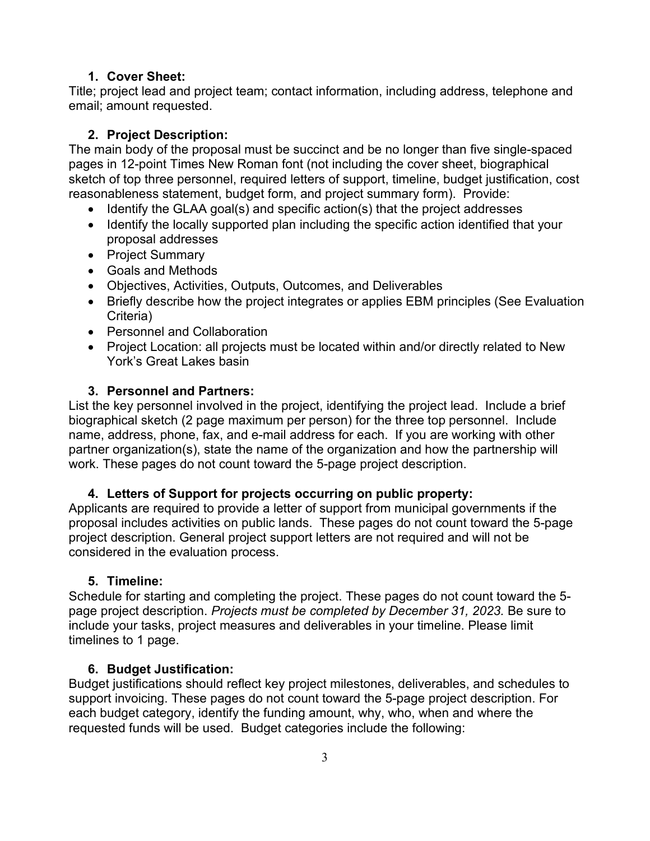### **1. Cover Sheet:**

Title; project lead and project team; contact information, including address, telephone and email; amount requested.

## **2. Project Description:**

The main body of the proposal must be succinct and be no longer than five single-spaced pages in 12-point Times New Roman font (not including the cover sheet, biographical sketch of top three personnel, required letters of support, timeline, budget justification, cost reasonableness statement, budget form, and project summary form). Provide:

- Identify the GLAA goal(s) and specific action(s) that the project addresses
- Identify the locally supported plan including the specific action identified that your proposal addresses
- Project Summary
- Goals and Methods
- Objectives, Activities, Outputs, Outcomes, and Deliverables
- Briefly describe how the project integrates or applies EBM principles (See Evaluation Criteria)
- Personnel and Collaboration
- Project Location: all projects must be located within and/or directly related to New York's Great Lakes basin

## **3. Personnel and Partners:**

List the key personnel involved in the project, identifying the project lead. Include a brief biographical sketch (2 page maximum per person) for the three top personnel. Include name, address, phone, fax, and e-mail address for each. If you are working with other partner organization(s), state the name of the organization and how the partnership will work. These pages do not count toward the 5-page project description.

## **4. Letters of Support for projects occurring on public property:**

Applicants are required to provide a letter of support from municipal governments if the proposal includes activities on public lands. These pages do not count toward the 5-page project description. General project support letters are not required and will not be considered in the evaluation process.

## **5. Timeline:**

Schedule for starting and completing the project. These pages do not count toward the 5 page project description. *Projects must be completed by December 31, 2023.* Be sure to include your tasks, project measures and deliverables in your timeline. Please limit timelines to 1 page.

## **6. Budget Justification:**

Budget justifications should reflect key project milestones, deliverables, and schedules to support invoicing. These pages do not count toward the 5-page project description. For each budget category, identify the funding amount, why, who, when and where the requested funds will be used. Budget categories include the following: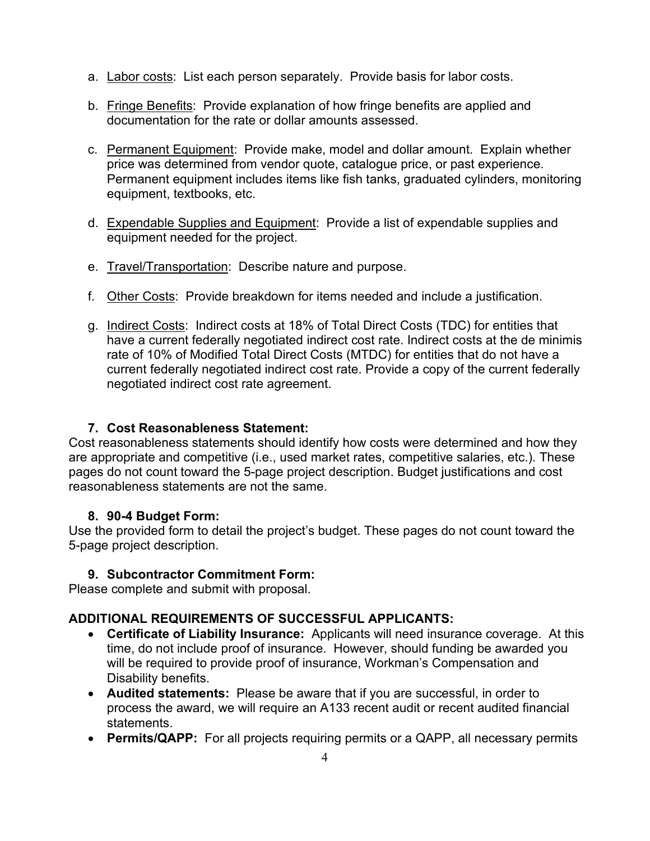- a. Labor costs: List each person separately. Provide basis for labor costs.
- b. Fringe Benefits: Provide explanation of how fringe benefits are applied and documentation for the rate or dollar amounts assessed.
- c. Permanent Equipment: Provide make, model and dollar amount. Explain whether price was determined from vendor quote, catalogue price, or past experience. Permanent equipment includes items like fish tanks, graduated cylinders, monitoring equipment, textbooks, etc.
- d. Expendable Supplies and Equipment: Provide a list of expendable supplies and equipment needed for the project.
- e. Travel/Transportation: Describe nature and purpose.
- f. Other Costs: Provide breakdown for items needed and include a justification.
- g. Indirect Costs: Indirect costs at 18% of Total Direct Costs (TDC) for entities that have a current federally negotiated indirect cost rate. Indirect costs at the de minimis rate of 10% of Modified Total Direct Costs (MTDC) for entities that do not have a current federally negotiated indirect cost rate. Provide a copy of the current federally negotiated indirect cost rate agreement.

### **7. Cost Reasonableness Statement:**

Cost reasonableness statements should identify how costs were determined and how they are appropriate and competitive (i.e., used market rates, competitive salaries, etc.). These pages do not count toward the 5-page project description. Budget justifications and cost reasonableness statements are not the same.

### **8. 90-4 Budget Form:**

Use the provided form to detail the project's budget. These pages do not count toward the 5-page project description.

## **9. Subcontractor Commitment Form:**

Please complete and submit with proposal.

## **ADDITIONAL REQUIREMENTS OF SUCCESSFUL APPLICANTS:**

- **Certificate of Liability Insurance:** Applicants will need insurance coverage. At this time, do not include proof of insurance. However, should funding be awarded you will be required to provide proof of insurance, Workman's Compensation and Disability benefits.
- **Audited statements:** Please be aware that if you are successful, in order to process the award, we will require an A133 recent audit or recent audited financial statements.
- **Permits/QAPP:** For all projects requiring permits or a QAPP, all necessary permits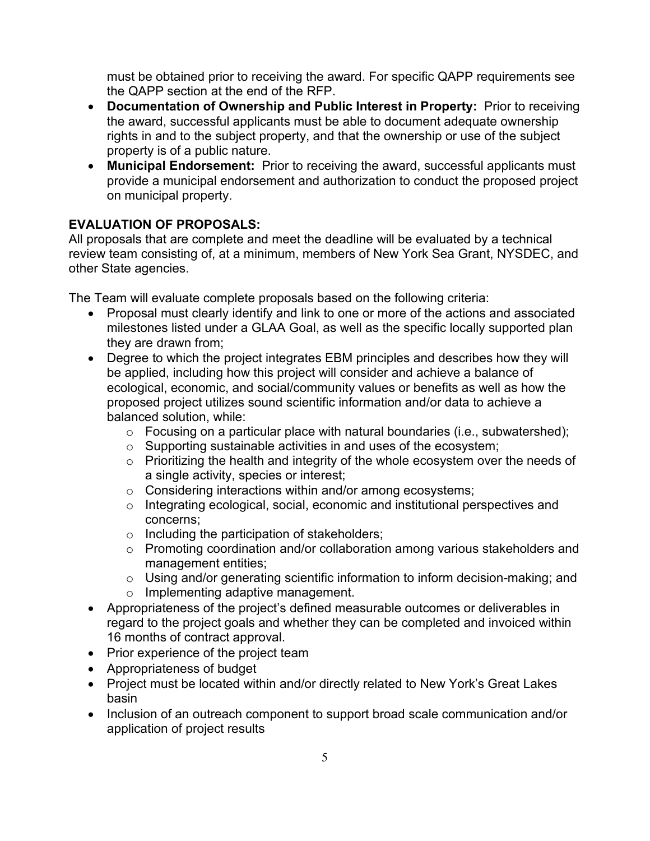must be obtained prior to receiving the award. For specific QAPP requirements see the QAPP section at the end of the RFP.

- **Documentation of Ownership and Public Interest in Property:** Prior to receiving the award, successful applicants must be able to document adequate ownership rights in and to the subject property, and that the ownership or use of the subject property is of a public nature.
- **Municipal Endorsement:** Prior to receiving the award, successful applicants must provide a municipal endorsement and authorization to conduct the proposed project on municipal property.

# **EVALUATION OF PROPOSALS:**

All proposals that are complete and meet the deadline will be evaluated by a technical review team consisting of, at a minimum, members of New York Sea Grant, NYSDEC, and other State agencies.

The Team will evaluate complete proposals based on the following criteria:

- Proposal must clearly identify and link to one or more of the actions and associated milestones listed under a GLAA Goal, as well as the specific locally supported plan they are drawn from;
- Degree to which the project integrates EBM principles and describes how they will be applied, including how this project will consider and achieve a balance of ecological, economic, and social/community values or benefits as well as how the proposed project utilizes sound scientific information and/or data to achieve a balanced solution, while:
	- $\circ$  Focusing on a particular place with natural boundaries (i.e., subwatershed);
	- o Supporting sustainable activities in and uses of the ecosystem;
	- o Prioritizing the health and integrity of the whole ecosystem over the needs of a single activity, species or interest;
	- o Considering interactions within and/or among ecosystems;
	- o Integrating ecological, social, economic and institutional perspectives and concerns;
	- o Including the participation of stakeholders;
	- o Promoting coordination and/or collaboration among various stakeholders and management entities;
	- o Using and/or generating scientific information to inform decision-making; and
	- o Implementing adaptive management.
- Appropriateness of the project's defined measurable outcomes or deliverables in regard to the project goals and whether they can be completed and invoiced within 16 months of contract approval.
- Prior experience of the project team
- Appropriateness of budget
- Project must be located within and/or directly related to New York's Great Lakes basin
- Inclusion of an outreach component to support broad scale communication and/or application of project results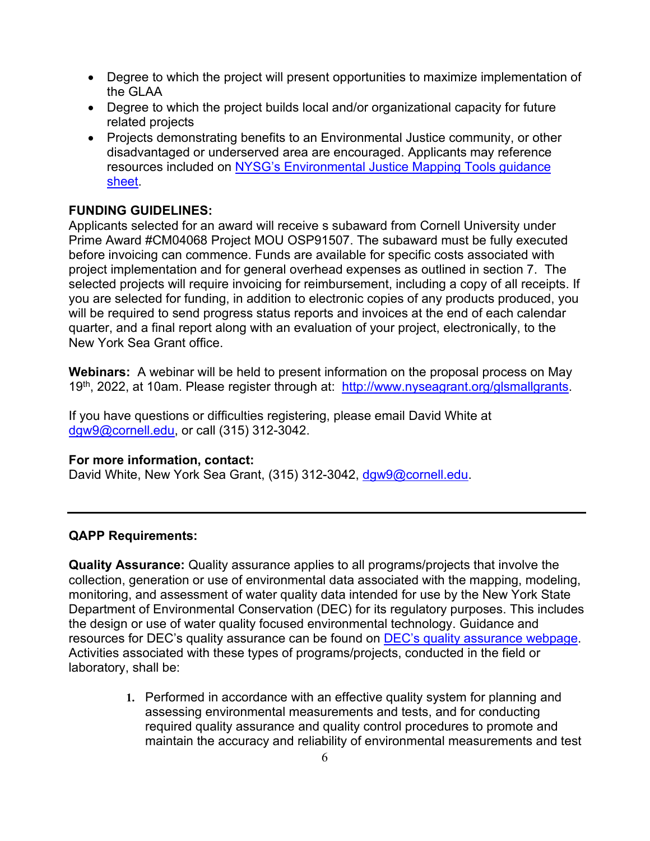- Degree to which the project will present opportunities to maximize implementation of the GLAA
- Degree to which the project builds local and/or organizational capacity for future related projects
- Projects demonstrating benefits to an Environmental Justice community, or other disadvantaged or underserved area are encouraged. Applicants may reference resources included on [NYSG's Environmental Justice Mapping Tools guidance](https://seagrant.sunysb.edu/images/uploads/pdfs/EnvironmentalJustice-MappingToolsGuide.pdf)  [sheet.](https://seagrant.sunysb.edu/images/uploads/pdfs/EnvironmentalJustice-MappingToolsGuide.pdf)

### **FUNDING GUIDELINES:**

Applicants selected for an award will receive s subaward from Cornell University under Prime Award #CM04068 Project MOU OSP91507. The subaward must be fully executed before invoicing can commence. Funds are available for specific costs associated with project implementation and for general overhead expenses as outlined in section 7. The selected projects will require invoicing for reimbursement, including a copy of all receipts. If you are selected for funding, in addition to electronic copies of any products produced, you will be required to send progress status reports and invoices at the end of each calendar quarter, and a final report along with an evaluation of your project, electronically, to the New York Sea Grant office.

**Webinars:** A webinar will be held to present information on the proposal process on May 19th, 2022, at 10am. Please register through at: [http://www.nyseagrant.org/glsmallgrants.](http://www.nyseagrant.org/glsmallgrants)

If you have questions or difficulties registering, please email David White at [dgw9@cornell.edu,](mailto:dgw9@cornell.edu) or call (315) 312-3042.

#### **For more information, contact:**

David White, New York Sea Grant, (315) 312-3042, [dgw9@cornell.edu.](mailto:dgw9@cornell.edu)

### **QAPP Requirements:**

**Quality Assurance:** Quality assurance applies to all programs/projects that involve the collection, generation or use of environmental data associated with the mapping, modeling, monitoring, and assessment of water quality data intended for use by the New York State Department of Environmental Conservation (DEC) for its regulatory purposes. This includes the design or use of water quality focused environmental technology. Guidance and resources for DEC's quality assurance can be found on [DEC's quality assurance webpage.](https://gcc02.safelinks.protection.outlook.com/?url=https%3A%2F%2Fwww.dec.ny.gov%2Fchemical%2F23850.html&data=04%7C01%7Cshannon.dougherty%40dec.ny.gov%7Cf2139614382c4250f46b08da10b943cc%7Cf46cb8ea79004d108ceb80e8c1c81ee7%7C0%7C0%7C637840685132819480%7CUnknown%7CTWFpbGZsb3d8eyJWIjoiMC4wLjAwMDAiLCJQIjoiV2luMzIiLCJBTiI6Ik1haWwiLCJXVCI6Mn0%3D%7C3000&sdata=hlDM1gXwW3ZpYz1u1fjPHIpWF3nw6T1x000OQG7GzTY%3D&reserved=0) Activities associated with these types of programs/projects, conducted in the field or laboratory, shall be:

> **1.** Performed in accordance with an effective quality system for planning and assessing environmental measurements and tests, and for conducting required quality assurance and quality control procedures to promote and maintain the accuracy and reliability of environmental measurements and test